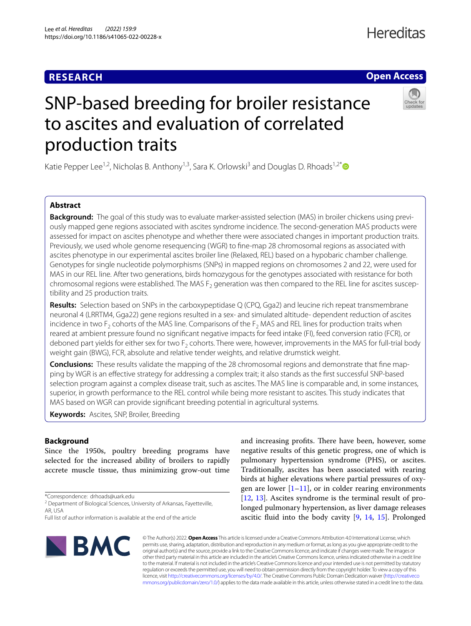# **RESEARCH**

# **Open Access**

# SNP-based breeding for broiler resistance to ascites and evaluation of correlated production traits

Katie Pepper Lee<sup>1,2</sup>, Nicholas B. Anthony<sup>1,3</sup>, Sara K. Orlowski<sup>3</sup> and Douglas D. Rhoads<sup>1,2[\\*](http://orcid.org/0000-0001-7307-4754)</sup>

# **Abstract**

**Background:** The goal of this study was to evaluate marker-assisted selection (MAS) in broiler chickens using previously mapped gene regions associated with ascites syndrome incidence. The second-generation MAS products were assessed for impact on ascites phenotype and whether there were associated changes in important production traits. Previously, we used whole genome resequencing (WGR) to fne-map 28 chromosomal regions as associated with ascites phenotype in our experimental ascites broiler line (Relaxed, REL) based on a hypobaric chamber challenge. Genotypes for single nucleotide polymorphisms (SNPs) in mapped regions on chromosomes 2 and 22, were used for MAS in our REL line. After two generations, birds homozygous for the genotypes associated with resistance for both chromosomal regions were established. The MAS  $F_2$  generation was then compared to the REL line for ascites susceptibility and 25 production traits.

**Results:** Selection based on SNPs in the carboxypeptidase Q (CPQ, Gga2) and leucine rich repeat transmembrane neuronal 4 (LRRTM4, Gga22) gene regions resulted in a sex- and simulated altitude- dependent reduction of ascites incidence in two  $F_2$  cohorts of the MAS line. Comparisons of the  $F_2$  MAS and REL lines for production traits when reared at ambient pressure found no signifcant negative impacts for feed intake (FI), feed conversion ratio (FCR), or deboned part yields for either sex for two  $F_2$  cohorts. There were, however, improvements in the MAS for full-trial body weight gain (BWG), FCR, absolute and relative tender weights, and relative drumstick weight.

**Conclusions:** These results validate the mapping of the 28 chromosomal regions and demonstrate that fne mapping by WGR is an efective strategy for addressing a complex trait; it also stands as the frst successful SNP-based selection program against a complex disease trait, such as ascites. The MAS line is comparable and, in some instances, superior, in growth performance to the REL control while being more resistant to ascites. This study indicates that MAS based on WGR can provide signifcant breeding potential in agricultural systems.

**Keywords:** Ascites, SNP, Broiler, Breeding

# **Background**

Since the 1950s, poultry breeding programs have selected for the increased ability of broilers to rapidly accrete muscle tissue, thus minimizing grow-out time

\*Correspondence: drhoads@uark.edu

**BMC** 

and increasing profits. There have been, however, some negative results of this genetic progress, one of which is pulmonary hypertension syndrome (PHS), or ascites. Traditionally, ascites has been associated with rearing birds at higher elevations where partial pressures of oxygen are lower  $[1-11]$  $[1-11]$  $[1-11]$ , or in colder rearing environments [[12,](#page-13-2) [13](#page-13-3)]. Ascites syndrome is the terminal result of prolonged pulmonary hypertension, as liver damage releases ascitic fuid into the body cavity [[9,](#page-13-4) [14,](#page-13-5) [15](#page-13-6)]. Prolonged

© The Author(s) 2022. **Open Access** This article is licensed under a Creative Commons Attribution 4.0 International License, which permits use, sharing, adaptation, distribution and reproduction in any medium or format, as long as you give appropriate credit to the original author(s) and the source, provide a link to the Creative Commons licence, and indicate if changes were made. The images or other third party material in this article are included in the article's Creative Commons licence, unless indicated otherwise in a credit line to the material. If material is not included in the article's Creative Commons licence and your intended use is not permitted by statutory regulation or exceeds the permitted use, you will need to obtain permission directly from the copyright holder. To view a copy of this licence, visit [http://creativecommons.org/licenses/by/4.0/.](http://creativecommons.org/licenses/by/4.0/) The Creative Commons Public Domain Dedication waiver ([http://creativeco](http://creativecommons.org/publicdomain/zero/1.0/) [mmons.org/publicdomain/zero/1.0/](http://creativecommons.org/publicdomain/zero/1.0/)) applies to the data made available in this article, unless otherwise stated in a credit line to the data.

<sup>&</sup>lt;sup>2</sup> Department of Biological Sciences, University of Arkansas, Fayetteville, AR, USA

Full list of author information is available at the end of the article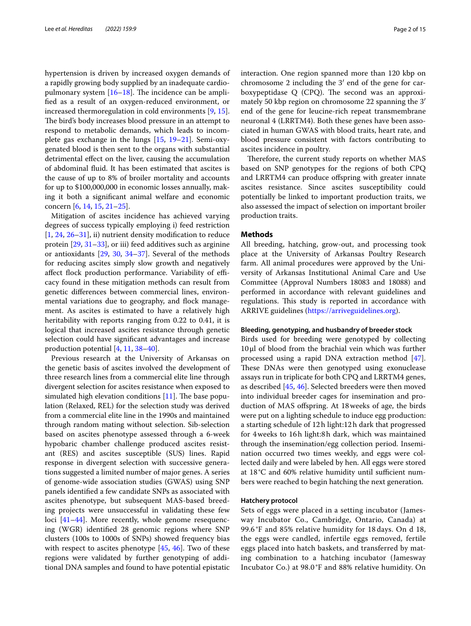hypertension is driven by increased oxygen demands of a rapidly growing body supplied by an inadequate cardiopulmonary system  $[16–18]$  $[16–18]$ . The incidence can be amplifed as a result of an oxygen-reduced environment, or increased thermoregulation in cold environments [[9,](#page-13-4) [15](#page-13-6)]. The bird's body increases blood pressure in an attempt to respond to metabolic demands, which leads to incomplete gas exchange in the lungs [[15](#page-13-6), [19](#page-13-9)[–21](#page-13-10)]. Semi-oxygenated blood is then sent to the organs with substantial detrimental effect on the liver, causing the accumulation of abdominal fuid. It has been estimated that ascites is the cause of up to 8% of broiler mortality and accounts for up to \$100,000,000 in economic losses annually, making it both a signifcant animal welfare and economic concern [\[6](#page-13-11), [14,](#page-13-5) [15,](#page-13-6) [21](#page-13-10)[–25](#page-13-12)].

Mitigation of ascites incidence has achieved varying degrees of success typically employing i) feed restriction  $[1, 24, 26-31]$  $[1, 24, 26-31]$  $[1, 24, 26-31]$  $[1, 24, 26-31]$  $[1, 24, 26-31]$  $[1, 24, 26-31]$  $[1, 24, 26-31]$ , ii) nutrient density modification to reduce protein [\[29](#page-13-16), [31–](#page-13-15)[33\]](#page-13-17), or iii) feed additives such as arginine or antioxidants [[29,](#page-13-16) [30](#page-13-18), [34](#page-13-19)[–37\]](#page-13-20). Several of the methods for reducing ascites simply slow growth and negatively affect flock production performance. Variability of efficacy found in these mitigation methods can result from genetic diferences between commercial lines, environmental variations due to geography, and flock management. As ascites is estimated to have a relatively high heritability with reports ranging from 0.22 to 0.41, it is logical that increased ascites resistance through genetic selection could have signifcant advantages and increase production potential [[4,](#page-13-21) [11](#page-13-1), [38](#page-13-22)[–40](#page-13-23)].

Previous research at the University of Arkansas on the genetic basis of ascites involved the development of three research lines from a commercial elite line through divergent selection for ascites resistance when exposed to simulated high elevation conditions  $[11]$  $[11]$ . The base population (Relaxed, REL) for the selection study was derived from a commercial elite line in the 1990s and maintained through random mating without selection. Sib-selection based on ascites phenotype assessed through a 6-week hypobaric chamber challenge produced ascites resistant (RES) and ascites susceptible (SUS) lines. Rapid response in divergent selection with successive generations suggested a limited number of major genes. A series of genome-wide association studies (GWAS) using SNP panels identifed a few candidate SNPs as associated with ascites phenotype, but subsequent MAS-based breeding projects were unsuccessful in validating these few loci [\[41](#page-13-24)–[44\]](#page-13-25). More recently, whole genome resequencing (WGR) identifed 28 genomic regions where SNP clusters (100s to 1000s of SNPs) showed frequency bias with respect to ascites phenotype [[45,](#page-13-26) [46](#page-14-0)]. Two of these regions were validated by further genotyping of additional DNA samples and found to have potential epistatic interaction. One region spanned more than 120 kbp on chromosome 2 including the 3′ end of the gene for carboxypeptidase  $Q$  (CPQ). The second was an approximately 50 kbp region on chromosome 22 spanning the 3′ end of the gene for leucine-rich repeat transmembrane neuronal 4 (LRRTM4). Both these genes have been associated in human GWAS with blood traits, heart rate, and blood pressure consistent with factors contributing to ascites incidence in poultry.

Therefore, the current study reports on whether MAS based on SNP genotypes for the regions of both CPQ and LRRTM4 can produce ofspring with greater innate ascites resistance. Since ascites susceptibility could potentially be linked to important production traits, we also assessed the impact of selection on important broiler production traits.

# **Methods**

All breeding, hatching, grow-out, and processing took place at the University of Arkansas Poultry Research farm. All animal procedures were approved by the University of Arkansas Institutional Animal Care and Use Committee (Approval Numbers 18083 and 18088) and performed in accordance with relevant guidelines and regulations. This study is reported in accordance with ARRIVE guidelines [\(https://arriveguidelines.org\)](https://arriveguidelines.org).

# **Bleeding, genotyping, and husbandry of breeder stock**

Birds used for breeding were genotyped by collecting 10μl of blood from the brachial vein which was further processed using a rapid DNA extraction method [\[47](#page-14-1)]. These DNAs were then genotyped using exonuclease assays run in triplicate for both CPQ and LRRTM4 genes, as described [\[45,](#page-13-26) [46](#page-14-0)]. Selected breeders were then moved into individual breeder cages for insemination and production of MAS ofspring. At 18weeks of age, the birds were put on a lighting schedule to induce egg production: a starting schedule of 12h light:12h dark that progressed for 4weeks to 16h light:8h dark, which was maintained through the insemination/egg collection period. Insemination occurred two times weekly, and eggs were collected daily and were labeled by hen. All eggs were stored at  $18^{\circ}$ C and 60% relative humidity until sufficient numbers were reached to begin hatching the next generation.

# **Hatchery protocol**

Sets of eggs were placed in a setting incubator (Jamesway Incubator Co., Cambridge, Ontario, Canada) at 99.6 °F and 85% relative humidity for 18 days. On d 18, the eggs were candled, infertile eggs removed, fertile eggs placed into hatch baskets, and transferred by mating combination to a hatching incubator (Jamesway Incubator Co.) at 98.0 °F and 88% relative humidity. On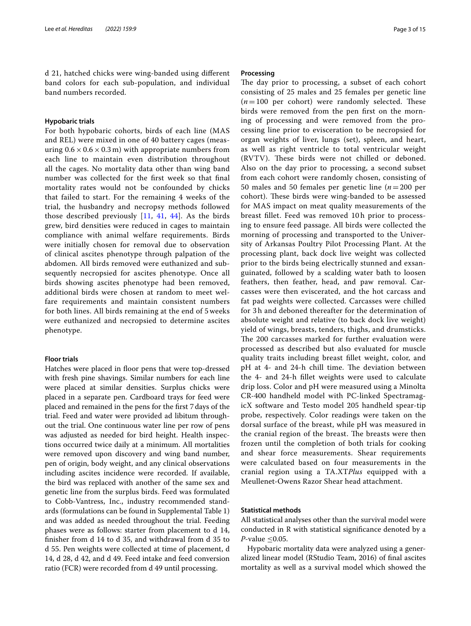d 21, hatched chicks were wing-banded using diferent band colors for each sub-population, and individual band numbers recorded.

# **Hypobaric trials**

For both hypobaric cohorts, birds of each line (MAS and REL) were mixed in one of 40 battery cages (measuring  $0.6 \times 0.6 \times 0.3$  m) with appropriate numbers from each line to maintain even distribution throughout all the cages. No mortality data other than wing band number was collected for the frst week so that fnal mortality rates would not be confounded by chicks that failed to start. For the remaining 4 weeks of the trial, the husbandry and necropsy methods followed those described previously [[11](#page-13-1), [41](#page-13-24), [44](#page-13-25)]. As the birds grew, bird densities were reduced in cages to maintain compliance with animal welfare requirements. Birds were initially chosen for removal due to observation of clinical ascites phenotype through palpation of the abdomen. All birds removed were euthanized and subsequently necropsied for ascites phenotype. Once all birds showing ascites phenotype had been removed, additional birds were chosen at random to meet welfare requirements and maintain consistent numbers for both lines. All birds remaining at the end of 5 weeks were euthanized and necropsied to determine ascites phenotype.

# **Floor trials**

Hatches were placed in floor pens that were top-dressed with fresh pine shavings. Similar numbers for each line were placed at similar densities. Surplus chicks were placed in a separate pen. Cardboard trays for feed were placed and remained in the pens for the frst 7days of the trial. Feed and water were provided ad libitum throughout the trial. One continuous water line per row of pens was adjusted as needed for bird height. Health inspections occurred twice daily at a minimum. All mortalities were removed upon discovery and wing band number, pen of origin, body weight, and any clinical observations including ascites incidence were recorded. If available, the bird was replaced with another of the same sex and genetic line from the surplus birds. Feed was formulated to Cobb-Vantress, Inc., industry recommended standards (formulations can be found in Supplemental Table 1) and was added as needed throughout the trial. Feeding phases were as follows: starter from placement to d 14, fnisher from d 14 to d 35, and withdrawal from d 35 to d 55. Pen weights were collected at time of placement, d 14, d 28, d 42, and d 49. Feed intake and feed conversion ratio (FCR) were recorded from d 49 until processing.

# **Processing**

The day prior to processing, a subset of each cohort consisting of 25 males and 25 females per genetic line  $(n=100$  per cohort) were randomly selected. These birds were removed from the pen frst on the morning of processing and were removed from the processing line prior to evisceration to be necropsied for organ weights of liver, lungs (set), spleen, and heart, as well as right ventricle to total ventricular weight (RVTV). These birds were not chilled or deboned. Also on the day prior to processing, a second subset from each cohort were randomly chosen, consisting of 50 males and 50 females per genetic line (*n*=200 per cohort). These birds were wing-banded to be assessed for MAS impact on meat quality measurements of the breast fillet. Feed was removed 10h prior to processing to ensure feed passage. All birds were collected the morning of processing and transported to the University of Arkansas Poultry Pilot Processing Plant. At the processing plant, back dock live weight was collected prior to the birds being electrically stunned and exsanguinated, followed by a scalding water bath to loosen feathers, then feather, head, and paw removal. Carcasses were then eviscerated, and the hot carcass and fat pad weights were collected. Carcasses were chilled for 3 h and deboned thereafter for the determination of absolute weight and relative (to back dock live weight) yield of wings, breasts, tenders, thighs, and drumsticks. The 200 carcasses marked for further evaluation were processed as described but also evaluated for muscle quality traits including breast fllet weight, color, and pH at 4- and 24-h chill time. The deviation between the 4- and 24-h fllet weights were used to calculate drip loss. Color and pH were measured using a Minolta CR-400 handheld model with PC-linked SpectramagicX software and Testo model 205 handheld spear-tip probe, respectively. Color readings were taken on the dorsal surface of the breast, while pH was measured in the cranial region of the breast. The breasts were then frozen until the completion of both trials for cooking and shear force measurements. Shear requirements were calculated based on four measurements in the cranial region using a TA.XT*Plus* equipped with a Meullenet-Owens Razor Shear head attachment.

# **Statistical methods**

All statistical analyses other than the survival model were conducted in R with statistical signifcance denoted by a *P*-value ≤0.05.

Hypobaric mortality data were analyzed using a generalized linear model (RStudio Team, 2016) of fnal ascites mortality as well as a survival model which showed the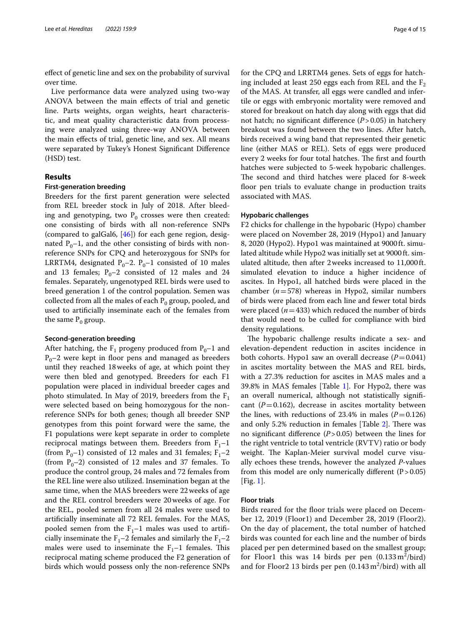efect of genetic line and sex on the probability of survival over time.

Live performance data were analyzed using two-way ANOVA between the main efects of trial and genetic line. Parts weights, organ weights, heart characteristic, and meat quality characteristic data from processing were analyzed using three-way ANOVA between the main efects of trial, genetic line, and sex. All means were separated by Tukey's Honest Signifcant Diference (HSD) test.

# **Results**

# **First‑generation breeding**

Breeders for the frst parent generation were selected from REL breeder stock in July of 2018. After bleeding and genotyping, two  $P_0$  crosses were then created: one consisting of birds with all non-reference SNPs (compared to galGal6, [\[46](#page-14-0)]) for each gene region, designated  $P_0$ –1, and the other consisting of birds with nonreference SNPs for CPQ and heterozygous for SNPs for LRRTM4, designated  $P_0$ –2.  $P_0$ –1 consisted of 10 males and 13 females;  $P_0$ –2 consisted of 12 males and 24 females. Separately, ungenotyped REL birds were used to breed generation 1 of the control population. Semen was collected from all the males of each  $P_0$  group, pooled, and used to artifcially inseminate each of the females from the same  $P_0$  group.

# **Second‑generation breeding**

After hatching, the  $F_1$  progeny produced from  $P_0$ –1 and  $P_0$ –2 were kept in floor pens and managed as breeders until they reached 18weeks of age, at which point they were then bled and genotyped. Breeders for each F1 population were placed in individual breeder cages and photo stimulated. In May of 2019, breeders from the  $F_1$ were selected based on being homozygous for the nonreference SNPs for both genes; though all breeder SNP genotypes from this point forward were the same, the F1 populations were kept separate in order to complete reciprocal matings between them. Breeders from  $F_1$ –1 (from  $P_0$ –1) consisted of 12 males and 31 females;  $F_1$ –2 (from  $P_0$ –2) consisted of 12 males and 37 females. To produce the control group, 24 males and 72 females from the REL line were also utilized. Insemination began at the same time, when the MAS breeders were 22weeks of age and the REL control breeders were 20weeks of age. For the REL, pooled semen from all 24 males were used to artifcially inseminate all 72 REL females. For the MAS, pooled semen from the  $F_1$ –1 males was used to artificially inseminate the  $F_1$ –2 females and similarly the  $F_1$ –2 males were used to inseminate the  $F_1-1$  females. This reciprocal mating scheme produced the F2 generation of birds which would possess only the non-reference SNPs for the CPQ and LRRTM4 genes. Sets of eggs for hatching included at least 250 eggs each from REL and the  $F_2$ of the MAS. At transfer, all eggs were candled and infertile or eggs with embryonic mortality were removed and stored for breakout on hatch day along with eggs that did not hatch; no signifcant diference (*P*>0.05) in hatchery breakout was found between the two lines. After hatch, birds received a wing band that represented their genetic line (either MAS or REL). Sets of eggs were produced every 2 weeks for four total hatches. The first and fourth hatches were subjected to 5-week hypobaric challenges. The second and third hatches were placed for 8-week floor pen trials to evaluate change in production traits associated with MAS.

# **Hypobaric challenges**

F2 chicks for challenge in the hypobaric (Hypo) chamber were placed on November 28, 2019 (Hypo1) and January 8, 2020 (Hypo2). Hypo1 was maintained at 9000ft. simulated altitude while Hypo2 was initially set at 9000ft. simulated altitude, then after 2weeks increased to 11,000ft. simulated elevation to induce a higher incidence of ascites. In Hypo1, all hatched birds were placed in the chamber (*n*=578) whereas in Hypo2, similar numbers of birds were placed from each line and fewer total birds were placed  $(n=433)$  which reduced the number of birds that would need to be culled for compliance with bird density regulations.

The hypobaric challenge results indicate a sex- and elevation-dependent reduction in ascites incidence in both cohorts. Hypo1 saw an overall decrease  $(P=0.041)$ in ascites mortality between the MAS and REL birds, with a 27.3% reduction for ascites in MAS males and a 39.8% in MAS females [Table [1](#page-4-0)]. For Hypo2, there was an overall numerical, although not statistically signifcant  $(P=0.162)$ , decrease in ascites mortality between the lines, with reductions of 23.4% in males  $(P=0.126)$ and only 5.2% reduction in females [Table  $2$ ]. There was no signifcant diference (*P*>0.05) between the lines for the right ventricle to total ventricle (RVTV) ratio or body weight. The Kaplan-Meier survival model curve visually echoes these trends, however the analyzed *P*-values from this model are only numerically different  $(P>0.05)$ [Fig. [1\]](#page-6-0).

# **Floor trials**

Birds reared for the foor trials were placed on December 12, 2019 (Floor1) and December 28, 2019 (Floor2). On the day of placement, the total number of hatched birds was counted for each line and the number of birds placed per pen determined based on the smallest group; for Floor1 this was  $14$  birds per pen  $(0.133 \text{ m}^2/\text{bird})$ and for Floor2 13 birds per pen  $(0.143 \,\mathrm{m}^2/\mathrm{bird})$  with all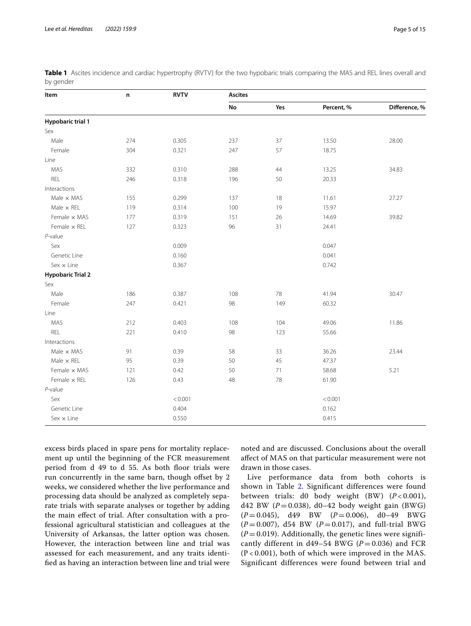| Item                     | n   | <b>RVTV</b> | <b>Ascites</b> |     |            |               |  |  |
|--------------------------|-----|-------------|----------------|-----|------------|---------------|--|--|
|                          |     |             | No             | Yes | Percent, % | Difference, % |  |  |
| <b>Hypobaric trial 1</b> |     |             |                |     |            |               |  |  |
| Sex                      |     |             |                |     |            |               |  |  |
| Male                     | 274 | 0.305       | 237            | 37  | 13.50      | 28.00         |  |  |
| Female                   | 304 | 0.321       | 247            | 57  | 18.75      |               |  |  |
| Line                     |     |             |                |     |            |               |  |  |
| MAS                      | 332 | 0.310       | 288            | 44  | 13.25      | 34.83         |  |  |
| REL                      | 246 | 0.318       | 196            | 50  | 20.33      |               |  |  |
| Interactions             |     |             |                |     |            |               |  |  |
| Male $\times$ MAS        | 155 | 0.299       | 137            | 18  | 11.61      | 27.27         |  |  |
| Male $\times$ REL        | 119 | 0.314       | 100            | 19  | 15.97      |               |  |  |
| Female x MAS             | 177 | 0.319       | 151            | 26  | 14.69      | 39.82         |  |  |
| Female $\times$ REL      | 127 | 0.323       | 96             | 31  | 24.41      |               |  |  |
| $P$ -value               |     |             |                |     |            |               |  |  |
| Sex                      |     | 0.009       |                |     | 0.047      |               |  |  |
| Genetic Line             |     | 0.160       |                |     | 0.041      |               |  |  |
| $Sex \times Line$        |     | 0.367       |                |     | 0.742      |               |  |  |
| <b>Hypobaric Trial 2</b> |     |             |                |     |            |               |  |  |
| Sex                      |     |             |                |     |            |               |  |  |
| Male                     | 186 | 0.387       | 108            | 78  | 41.94      | 30.47         |  |  |
| Female                   | 247 | 0.421       | 98             | 149 | 60.32      |               |  |  |
| Line                     |     |             |                |     |            |               |  |  |
| MAS                      | 212 | 0.403       | 108            | 104 | 49.06      | 11.86         |  |  |
| REL                      | 221 | 0.410       | 98             | 123 | 55.66      |               |  |  |
| Interactions             |     |             |                |     |            |               |  |  |
| Male $\times$ MAS        | 91  | 0.39        | 58             | 33  | 36.26      | 23.44         |  |  |
| Male $\times$ REL        | 95  | 0.39        | 50             | 45  | 47.37      |               |  |  |
| Female x MAS             | 121 | 0.42        | 50             | 71  | 58.68      | 5.21          |  |  |
| Female $\times$ REL      | 126 | 0.43        | 48             | 78  | 61.90      |               |  |  |
| $P$ -value               |     |             |                |     |            |               |  |  |
| Sex                      |     | < 0.001     |                |     | < 0.001    |               |  |  |
| Genetic Line             |     | 0.404       |                |     | 0.162      |               |  |  |
| $Sex \times Line$        |     | 0.550       |                |     | 0.415      |               |  |  |

<span id="page-4-0"></span>**Table 1** Ascites incidence and cardiac hypertrophy (RVTV) for the two hypobaric trials comparing the MAS and REL lines overall and by gender

excess birds placed in spare pens for mortality replacement up until the beginning of the FCR measurement period from d 49 to d 55. As both floor trials were run concurrently in the same barn, though ofset by 2 weeks, we considered whether the live performance and processing data should be analyzed as completely separate trials with separate analyses or together by adding the main efect of trial. After consultation with a professional agricultural statistician and colleagues at the University of Arkansas, the latter option was chosen. However, the interaction between line and trial was assessed for each measurement, and any traits identifed as having an interaction between line and trial were noted and are discussed. Conclusions about the overall afect of MAS on that particular measurement were not drawn in those cases.

Live performance data from both cohorts is shown in Table [2.](#page-5-0) Significant differences were found between trials: d0 body weight (BW) (*P* < 0.001), d42 BW  $(P=0.038)$ , d0-42 body weight gain (BWG) (*P* = 0.045), d49 BW (*P* = 0.006), d0–49 BWG  $(P = 0.007)$ , d54 BW  $(P = 0.017)$ , and full-trial BWG  $(P=0.019)$ . Additionally, the genetic lines were significantly different in  $d49-54$  BWG ( $P = 0.036$ ) and FCR (P < 0.001), both of which were improved in the MAS. Significant differences were found between trial and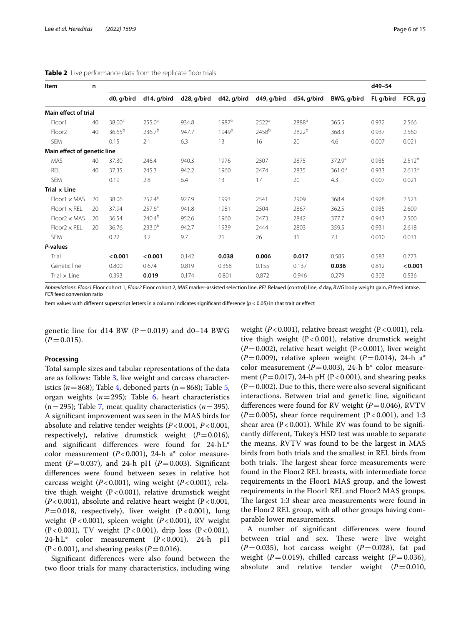| Item                        | n  |                    |                    |             |                   |                   | d49-54            |                    |            |                    |
|-----------------------------|----|--------------------|--------------------|-------------|-------------------|-------------------|-------------------|--------------------|------------|--------------------|
|                             |    | d0, g/bird         | d14, g/bird        | d28, g/bird | d42, g/bird       | d49, g/bird       | d54, g/bird       | BWG, g/bird        | Fl, g/bird | FCR, g:g           |
| Main effect of trial        |    |                    |                    |             |                   |                   |                   |                    |            |                    |
| Floor1                      | 40 | 38.00 <sup>a</sup> | $255.0^a$          | 934.8       | $1987^{\circ}$    | 2522 <sup>a</sup> | 2888 <sup>a</sup> | 365.5              | 0.932      | 2.566              |
| Floor <sub>2</sub>          | 40 | 36.65 <sup>b</sup> | 236.7 <sup>b</sup> | 947.7       | 1949 <sup>b</sup> | 2458 <sup>b</sup> | 2822 <sup>b</sup> | 368.3              | 0.937      | 2.560              |
| <b>SEM</b>                  |    | 0.15               | 2.1                | 6.3         | 13                | 16                | 20                | 4.6                | 0.007      | 0.021              |
| Main effect of genetic line |    |                    |                    |             |                   |                   |                   |                    |            |                    |
| MAS                         | 40 | 37.30              | 246.4              | 940.3       | 1976              | 2507              | 2875              | 372.9 <sup>a</sup> | 0.935      | 2.512 <sup>b</sup> |
| REL                         | 40 | 37.35              | 245.3              | 942.2       | 1960              | 2474              | 2835              | $361.0^{b}$        | 0.933      | 2.613 <sup>a</sup> |
| <b>SEM</b>                  |    | 0.19               | 2.8                | 6.4         | 13                | 17                | 20                | 4.3                | 0.007      | 0.021              |
| Trial $\times$ Line         |    |                    |                    |             |                   |                   |                   |                    |            |                    |
| $Floor1 \times MAS$         | 20 | 38.06              | $252.4^{a}$        | 927.9       | 1993              | 2541              | 2909              | 368.4              | 0.928      | 2.523              |
| $Floor1 \times REL$         | 20 | 37.94              | 257.6 <sup>a</sup> | 941.8       | 1981              | 2504              | 2867              | 362.5              | 0.935      | 2.609              |
| $Floor2 \times MAS$         | 20 | 36.54              | 240.4 <sup>b</sup> | 952.6       | 1960              | 2473              | 2842              | 377.7              | 0.943      | 2.500              |
| $Floor2 \times REL$         | 20 | 36.76              | $233.0^{b}$        | 942.7       | 1939              | 2444              | 2803              | 359.5              | 0.931      | 2.618              |
| <b>SEM</b>                  |    | 0.22               | 3.2                | 9.7         | 21                | 26                | 31                | 7.1                | 0.010      | 0.031              |
| P-values                    |    |                    |                    |             |                   |                   |                   |                    |            |                    |
| Trial                       |    | < 0.001            | < 0.001            | 0.142       | 0.038             | 0.006             | 0.017             | 0.585              | 0.583      | 0.773              |
| Genetic line                |    | 0.800              | 0.674              | 0.819       | 0.358             | 0.155             | 0.137             | 0.036              | 0.812      | < 0.001            |
| Trial $\times$ Line         |    | 0.393              | 0.019              | 0.174       | 0.801             | 0.872             | 0.946             | 0.279              | 0.303      | 0.536              |

<span id="page-5-0"></span>**Table 2** Live performance data from the replicate floor trials

Abbreviations: Floor1 Floor cohort 1, Floor2 Floor cohort 2, MAS marker-assisted selection line, REL Relaxed (control) line, d day, BWG body weight gain, FI feed intake, *FCR* feed conversion ratio

Item values with diferent superscript letters in a column indicates signifcant diference (*p* < 0.05) in that trait or efect

genetic line for d14 BW ( $P = 0.019$ ) and d0–14 BWG  $(P = 0.015)$ .

# **Processing**

Total sample sizes and tabular representations of the data are as follows: Table [3](#page-7-0), live weight and carcass characteristics ( $n=868$ ); Table [4,](#page-8-0) deboned parts ( $n=868$ ); Table [5](#page-9-0), organ weights  $(n=295)$ ; Table [6,](#page-10-0) heart characteristics  $(n=295)$ ; Table [7](#page-11-0), meat quality characteristics  $(n=395)$ . A signifcant improvement was seen in the MAS birds for absolute and relative tender weights (*P*<0.001, *P*<0.001, respectively), relative drumstick weight  $(P=0.016)$ , and signifcant diferences were found for 24-hL\* color measurement (*P*<0.001), 24-h a\* color measurement ( $P=0.037$ ), and 24-h pH ( $P=0.003$ ). Significant diferences were found between sexes in relative hot carcass weight (*P*<0.001), wing weight (*P*<0.001), relative thigh weight  $(P<0.001)$ , relative drumstick weight  $(P<0.001)$ , absolute and relative heart weight  $(P<0.001)$ ,  $P=0.018$ , respectively), liver weight  $(P<0.001)$ , lung weight (P<0.001), spleen weight (*P*<0.001), RV weight (P<0.001), TV weight (P<0.001), drip loss (P<0.001), 24-hL\* color measurement (P<0.001), 24-h pH  $(P<0.001)$ , and shearing peaks  $(P=0.016)$ .

Signifcant diferences were also found between the two floor trials for many characteristics, including wing weight  $(P<0.001)$ , relative breast weight  $(P<0.001)$ , relative thigh weight  $(P<0.001)$ , relative drumstick weight  $(P=0.002)$ , relative heart weight  $(P<0.001)$ , liver weight  $(P=0.009)$ , relative spleen weight  $(P=0.014)$ , 24-h a<sup>\*</sup> color measurement ( $P=0.003$ ), 24-h b<sup>\*</sup> color measurement  $(P=0.017)$ , 24-h pH  $(P<0.001)$ , and shearing peaks  $(P=0.002)$ . Due to this, there were also several significant interactions. Between trial and genetic line, signifcant differences were found for RV weight  $(P=0.046)$ , RVTV  $(P=0.005)$ , shear force requirement  $(P<0.001)$ , and 1:3 shear area ( $P < 0.001$ ). While RV was found to be significantly diferent, Tukey's HSD test was unable to separate the means. RVTV was found to be the largest in MAS birds from both trials and the smallest in REL birds from both trials. The largest shear force measurements were found in the Floor2 REL breasts, with intermediate force requirements in the Floor1 MAS group, and the lowest requirements in the Floor1 REL and Floor2 MAS groups. The largest 1:3 shear area measurements were found in the Floor2 REL group, with all other groups having comparable lower measurements.

A number of signifcant diferences were found between trial and sex. These were live weight  $(P=0.035)$ , hot carcass weight  $(P=0.028)$ , fat pad weight ( $P=0.019$ ), chilled carcass weight ( $P=0.036$ ), absolute and relative tender weight (*P*=0.010,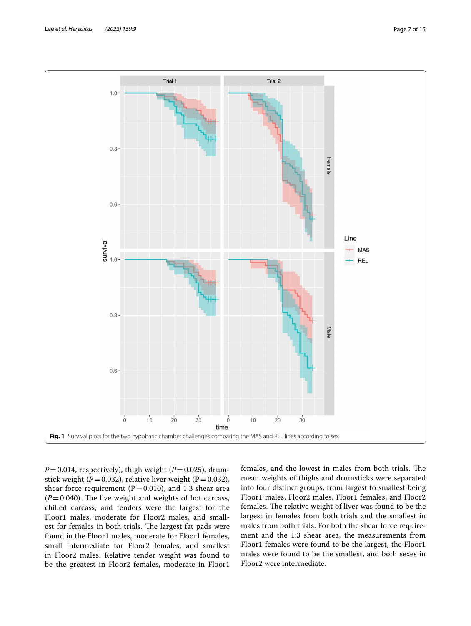

<span id="page-6-0"></span> $P=0.014$ , respectively), thigh weight ( $P=0.025$ ), drumstick weight ( $P=0.032$ ), relative liver weight ( $P=0.032$ ), shear force requirement ( $P=0.010$ ), and 1:3 shear area  $(P=0.040)$ . The live weight and weights of hot carcass, chilled carcass, and tenders were the largest for the Floor1 males, moderate for Floor2 males, and smallest for females in both trials. The largest fat pads were found in the Floor1 males, moderate for Floor1 females, small intermediate for Floor2 females, and smallest in Floor2 males. Relative tender weight was found to be the greatest in Floor2 females, moderate in Floor1

females, and the lowest in males from both trials. The mean weights of thighs and drumsticks were separated into four distinct groups, from largest to smallest being Floor1 males, Floor2 males, Floor1 females, and Floor2 females. The relative weight of liver was found to be the largest in females from both trials and the smallest in males from both trials. For both the shear force requirement and the 1:3 shear area, the measurements from Floor1 females were found to be the largest, the Floor1 males were found to be the smallest, and both sexes in Floor2 were intermediate.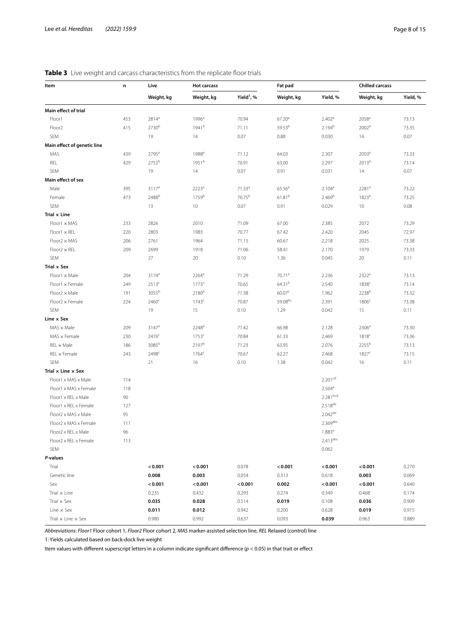# <span id="page-7-0"></span>**Table 3** Live weight and carcass characteristics from the replicate floor trials

| Item                             | n   | Live              | <b>Hot carcass</b>  |                        | Fat pad            |                     | <b>Chilled carcass</b> |          |  |
|----------------------------------|-----|-------------------|---------------------|------------------------|--------------------|---------------------|------------------------|----------|--|
|                                  |     | Weight, kg        | Weight, kg          | Yield <sup>1</sup> , % | Weight, kg         | Yield, %            | Weight, kg             | Yield, % |  |
| Main effect of trial             |     |                   |                     |                        |                    |                     |                        |          |  |
| Floor1                           | 453 | $2814^{a}$        | 1996 <sup>a</sup>   | 70.94                  | 67.20 <sup>a</sup> | 2.402 <sup>a</sup>  | 2058 <sup>a</sup>      | 73.13    |  |
| Floor <sub>2</sub>               | 415 | 2730 <sup>b</sup> | 1941 <sup>b</sup>   | 71.11                  | 59.53 <sup>b</sup> | 2.194 <sup>b</sup>  | 2002 <sup>b</sup>      | 73.35    |  |
| SEM                              |     | 19                | 14                  | 0.07                   | 0.88               | 0.030               | 14                     | 0.07     |  |
| Main effect of genetic line      |     |                   |                     |                        |                    |                     |                        |          |  |
| MAS                              | 439 | $2795^a$          | 1988 <sup>a</sup>   | 71.12                  | 64.03              | 2.307               | 2050 <sup>a</sup>      | 73.33    |  |
| REL                              | 429 | 2752 <sup>b</sup> | 1951 <sup>b</sup>   | 70.91                  | 63.00              | 2.297               | 2013 <sup>b</sup>      | 73.14    |  |
| SEM                              |     | 19                | 14                  | 0.07                   | 0.91               | 0.031               | 14                     | 0.07     |  |
| Main effect of sex               |     |                   |                     |                        |                    |                     |                        |          |  |
| Male                             | 395 | 3117 <sup>a</sup> | 2223 <sup>a</sup>   | 71.33 <sup>a</sup>     | 65.56 <sup>a</sup> | 2.104 <sup>a</sup>  | 2281ª                  | 73.22    |  |
| Female                           | 473 | 2488 <sup>b</sup> | 1759b               | 70.75 <sup>b</sup>     | 61.81 <sup>b</sup> | 2.469 <sup>b</sup>  | 1823 <sup>b</sup>      | 73.25    |  |
| SEM                              |     | 13                | 10                  | 0.07                   | 0.91               | 0.029               | 10                     | 0.08     |  |
| Trial x Line                     |     |                   |                     |                        |                    |                     |                        |          |  |
| $Floor1 \times MAS$              | 233 | 2826              | 2010                | 71.09                  | 67.00              | 2.385               | 2072                   | 73.29    |  |
| $Floor1 \times REL$              | 220 | 2803              | 1983                | 70.77                  | 67.42              | 2.420               | 2045                   | 72.97    |  |
| $Floor2 \times MAS$              | 206 | 2761              | 1964                | 71.15                  | 60.67              | 2.218               | 2025                   | 73.38    |  |
| $Floor2 \times REL$              | 209 | 2699              | 1918                | 71.06                  | 58.41              | 2.170               | 1979                   | 73.33    |  |
| SEM                              |     | 27                | 20                  | 0.10                   | 1.36               | 0.045               | 20                     | 0.11     |  |
| Trial x Sex                      |     |                   |                     |                        |                    |                     |                        |          |  |
| $Floor1 \times Male$             | 204 | 3174 <sup>a</sup> | $2264$ <sup>a</sup> | 71.29                  | 70.71 <sup>a</sup> | 2.236               | 2322ª                  | 73.13    |  |
| $Floor1 \times Female$           | 249 | 2513 <sup>c</sup> | 1773 <sup>c</sup>   | 70.65                  | 64.31 <sup>b</sup> | 2.540               | 1838 <sup>c</sup>      | 73.14    |  |
| $Floor2 \times Male$             | 191 | 3055 <sup>b</sup> | 2180 <sup>b</sup>   | 71.38                  | 60.07 <sup>c</sup> | 1.962               | 2238 <sup>b</sup>      | 73.32    |  |
| $Floor2 \times Female$           | 224 | 2460 <sup>c</sup> | 1743 <sup>c</sup>   | 70.87                  | 59.08bc            | 2.391               | 1806 <sup>c</sup>      | 73.38    |  |
| SEM                              |     | 19                | 15                  | 0.10                   | 1.29               | 0.042               | 15                     | 0.11     |  |
| Line x Sex                       |     |                   |                     |                        |                    |                     |                        |          |  |
| $MAS \times Male$                | 209 | $3147^a$          | 2248 <sup>a</sup>   | 71.42                  | 66.98              | 2.128               | 2306 <sup>a</sup>      | 73.30    |  |
| $MAS \times Female$              | 230 | 2476 <sup>c</sup> | 1753 <sup>c</sup>   | 70.84                  | 61.33              | 2.469               | 1818 <sup>c</sup>      | 73.36    |  |
| $REL \times Male$                | 186 | 3085 <sup>b</sup> | 2197 <sup>b</sup>   | 71.23                  | 63.95              | 2.076               | 2255 <sup>b</sup>      | 73.13    |  |
| $REL \times Female$              | 243 | 2498 <sup>c</sup> | $1764^c$            | 70.67                  | 62.27              | 2.468               | 1827c                  | 73.15    |  |
| SEM                              |     | 21                | 16                  | 0.10                   | 1.38               | 0.042               | 16                     | 0.11     |  |
| Trial x Line x Sex               |     |                   |                     |                        |                    |                     |                        |          |  |
| Floor1 x MAS x Male              | 114 |                   |                     |                        |                    | 2.201 <sup>cd</sup> |                        |          |  |
| Floor1 x MAS x Female            | 118 |                   |                     |                        |                    | 2.564 <sup>a</sup>  |                        |          |  |
| Floor1 x REL x Male              | 90  |                   |                     |                        |                    | 2.281bcd            |                        |          |  |
| Floor1 x REL x Female            | 127 |                   |                     |                        |                    | 2.518 <sup>ab</sup> |                        |          |  |
| Floor2 x MAS x Male              | 95  |                   |                     |                        |                    | $2.042^{de}$        |                        |          |  |
| Floor2 x MAS x Female            | 111 |                   |                     |                        |                    | 2.369abc            |                        |          |  |
| Floor2 x REL x Male              | 96  |                   |                     |                        |                    | $1.883^e$           |                        |          |  |
| Floor2 x REL x Female            | 113 |                   |                     |                        |                    | 2.413abc            |                        |          |  |
| SEM                              |     |                   |                     |                        |                    | 0.062               |                        |          |  |
| P-values                         |     |                   |                     |                        |                    |                     |                        |          |  |
| Trial                            |     | < 0.001           | < 0.001             | 0.078                  | < 0.001            | < 0.001             | < 0.001                | 0.270    |  |
| Genetic line                     |     | 0.008             | 0.003               | 0.054                  | 0.313              | 0.618               | 0.003                  | 0.069    |  |
| Sex                              |     | < 0.001           | < 0.001             | < 0.001                | 0.002              | < 0.001             | < 0.001                | 0.640    |  |
| Trial $\times$ Line              |     | 0.235             | 0.432               | 0.293                  | 0.274              | 0.349               | 0.468                  | 0.174    |  |
| Trial $\times$ Sex               |     | 0.035             | 0.028               | 0.514                  | 0.019              | 0.108               | 0.036                  | 0.909    |  |
| Line $\times$ Sex                |     | 0.011             | 0.012               | 0.942                  | 0.200              | 0.628               | 0.019                  | 0.915    |  |
| Trial $\times$ Line $\times$ Sex |     | 0.980             | 0.992               | 0.637                  | 0.093              | 0.039               | 0.963                  | 0.889    |  |

*Abbreviations*: *Floor1* Floor cohort 1, *Floor2* Floor cohort 2, *MAS* marker-assisted selection line, *REL* Relaxed (control) line

1: Yields calculated based on back-dock live weight

Item values with diferent superscript letters in a column indicate signifcant diference (*p* < 0.05) in that trait or efect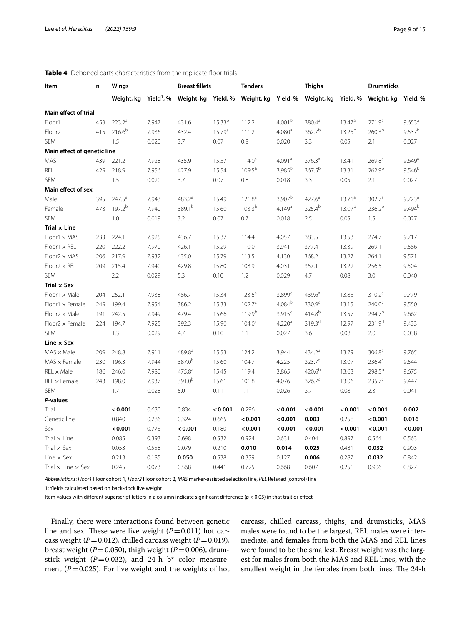| Item                             | n   | Wings              |                        | <b>Breast fillets</b> |                    | <b>Tenders</b>     |                    | <b>Thighs</b>      |                    | <b>Drumsticks</b>  |                      |
|----------------------------------|-----|--------------------|------------------------|-----------------------|--------------------|--------------------|--------------------|--------------------|--------------------|--------------------|----------------------|
|                                  |     | Weight, kg         | Yield <sup>1</sup> , % | Weight, kg Yield, %   |                    | Weight, kg         | Yield, %           | Weight, kg         | Yield, %           | Weight, kg         | Yield, %             |
| Main effect of trial             |     |                    |                        |                       |                    |                    |                    |                    |                    |                    |                      |
| Floor1                           | 453 | 223.2 <sup>a</sup> | 7.947                  | 431.6                 | 15.33 <sup>b</sup> | 112.2              | 4.001 <sup>b</sup> | 380.4 <sup>a</sup> | 13.47 <sup>a</sup> | 271.9 <sup>a</sup> | 9.653 <sup>a</sup>   |
| Floor <sub>2</sub>               | 415 | $216.6^{b}$        | 7.936                  | 432.4                 | 15.79 <sup>a</sup> | 111.2              | 4.080 <sup>a</sup> | 362.7 <sup>b</sup> | $13.25^{b}$        | 260.3 <sup>b</sup> | $9.537^{b}$          |
| <b>SEM</b>                       |     | 1.5                | 0.020                  | 3.7                   | 0.07               | 0.8                | 0.020              | 3.3                | 0.05               | 2.1                | 0.027                |
| Main effect of genetic line      |     |                    |                        |                       |                    |                    |                    |                    |                    |                    |                      |
| MAS                              | 439 | 221.2              | 7.928                  | 435.9                 | 15.57              | $114.0^a$          | 4.091 <sup>a</sup> | 376.3 <sup>a</sup> | 13.41              | 269.8 <sup>a</sup> | 9.649 <sup>a</sup>   |
| REL                              | 429 | 218.9              | 7.956                  | 427.9                 | 15.54              | 109.5 <sup>b</sup> | 3.985 <sup>b</sup> | 367.5 <sup>b</sup> | 13.31              | 262.9 <sup>b</sup> | 9.546 <sup>b</sup>   |
| <b>SEM</b>                       |     | 1.5                | 0.020                  | 3.7                   | 0.07               | 0.8                | 0.018              | 3.3                | 0.05               | 2.1                | 0.027                |
| Main effect of sex               |     |                    |                        |                       |                    |                    |                    |                    |                    |                    |                      |
| Male                             | 395 | $247.5^a$          | 7.943                  | 483.2 <sup>a</sup>    | 15.49              | 121.8 <sup>a</sup> | 3.907 <sup>b</sup> | $427.6^a$          | $13.71^a$          | 302.7 <sup>a</sup> | $9.723$ <sup>a</sup> |
| Female                           | 473 | 197.2 <sup>b</sup> | 7.940                  | 389.1b                | 15.60              | $103.3^{b}$        | 4.149a             | 325.4b             | 13.07 <sup>b</sup> | 236.2 <sup>b</sup> | $9.494^{b}$          |
| <b>SEM</b>                       |     | 1.0                | 0.019                  | 3.2                   | 0.07               | 0.7                | 0.018              | 2.5                | 0.05               | 1.5                | 0.027                |
| Trial x Line                     |     |                    |                        |                       |                    |                    |                    |                    |                    |                    |                      |
| $Floor1 \times MAS$              | 233 | 224.1              | 7.925                  | 436.7                 | 15.37              | 114.4              | 4.057              | 383.5              | 13.53              | 274.7              | 9.717                |
| $Floor1 \times REL$              | 220 | 222.2              | 7.970                  | 426.1                 | 15.29              | 110.0              | 3.941              | 377.4              | 13.39              | 269.1              | 9.586                |
| $Floor2 \times MAS$              | 206 | 217.9              | 7.932                  | 435.0                 | 15.79              | 113.5              | 4.130              | 368.2              | 13.27              | 264.1              | 9.571                |
| $Floor2 \times REL$              | 209 | 215.4              | 7.940                  | 429.8                 | 15.80              | 108.9              | 4.031              | 357.1              | 13.22              | 256.5              | 9.504                |
| <b>SEM</b>                       |     | 2.2                | 0.029                  | 5.3                   | 0.10               | 1.2                | 0.029              | 4.7                | 0.08               | 3.0                | 0.040                |
| Trial x Sex                      |     |                    |                        |                       |                    |                    |                    |                    |                    |                    |                      |
| $Floor1 \times Male$             | 204 | 252.1              | 7.938                  | 486.7                 | 15.34              | $123.6^a$          | 3.899 <sup>c</sup> | $439.6^a$          | 13.85              | 310.2 <sup>a</sup> | 9.779                |
| $Floor1 \times Female$           | 249 | 199.4              | 7.954                  | 386.2                 | 15.33              | $102.7^c$          | $4.084^{b}$        | 330.9 <sup>c</sup> | 13.15              | $240.0^{\circ}$    | 9.550                |
| $Floor2 \times Male$             | 191 | 242.5              | 7.949                  | 479.4                 | 15.66              | 119.9 <sup>b</sup> | 3.915c             | $414.8^{b}$        | 13.57              | 294.7 <sup>b</sup> | 9.662                |
| $Floor2 \times Female$           | 224 | 194.7              | 7.925                  | 392.3                 | 15.90              | $104.0^{\circ}$    | 4.220 <sup>a</sup> | 319.3 <sup>d</sup> | 12.97              | 231.9 <sup>d</sup> | 9.433                |
| <b>SEM</b>                       |     | 1.3                | 0.029                  | 4.7                   | 0.10               | 1.1                | 0.027              | 3.6                | 0.08               | 2.0                | 0.038                |
| Line x Sex                       |     |                    |                        |                       |                    |                    |                    |                    |                    |                    |                      |
| $MAS \times Male$                | 209 | 248.8              | 7.911                  | 489.8 <sup>a</sup>    | 15.53              | 124.2              | 3.944              | 434.2 <sup>a</sup> | 13.79              | 306.8 <sup>a</sup> | 9.765                |
| $MAS \times$ Female              | 230 | 196.3              | 7.944                  | 387.0 <sup>b</sup>    | 15.60              | 104.7              | 4.225              | 323.7 <sup>c</sup> | 13.07              | $236.4^c$          | 9.544                |
| $REL \times Male$                | 186 | 246.0              | 7.980                  | 475.8 <sup>a</sup>    | 15.45              | 119.4              | 3.865              | $420.6^{b}$        | 13.63              | $298.5^{b}$        | 9.675                |
| $REL \times Female$              | 243 | 198.0              | 7.937                  | 391.0 <sup>b</sup>    | 15.61              | 101.8              | 4.076              | $326.7^c$          | 13.06              | $235.7^c$          | 9.447                |
| <b>SEM</b>                       |     | 1.7                | 0.028                  | 5.0                   | 0.11               | 1.1                | 0.026              | 3.7                | 0.08               | 2.3                | 0.041                |
| P-values                         |     |                    |                        |                       |                    |                    |                    |                    |                    |                    |                      |
| Trial                            |     | < 0.001            | 0.630                  | 0.834                 | < 0.001            | 0.296              | < 0.001            | < 0.001            | < 0.001            | < 0.001            | 0.002                |
| Genetic line                     |     | 0.840              | 0.286                  | 0.324                 | 0.665              | < 0.001            | < 0.001            | 0.003              | 0.258              | < 0.001            | 0.016                |
| Sex                              |     | < 0.001            | 0.773                  | < 0.001               | 0.180              | < 0.001            | < 0.001            | < 0.001            | < 0.001            | < 0.001            | < 0.001              |
| Trial $\times$ Line              |     | 0.085              | 0.393                  | 0.698                 | 0.532              | 0.924              | 0.631              | 0.404              | 0.897              | 0.564              | 0.563                |
| Trial $\times$ Sex               |     | 0.053              | 0.558                  | 0.079                 | 0.210              | 0.010              | 0.014              | 0.025              | 0.481              | 0.032              | 0.903                |
| Line $\times$ Sex                |     | 0.213              | 0.185                  | 0.050                 | 0.538              | 0.339              | 0.127              | 0.006              | 0.287              | 0.032              | 0.842                |
| Trial $\times$ Line $\times$ Sex |     | 0.245              | 0.073                  | 0.568                 | 0.441              | 0.725              | 0.668              | 0.607              | 0.251              | 0.906              | 0.827                |

# <span id="page-8-0"></span>**Table 4** Deboned parts characteristics from the replicate floor trials

*Abbreviations*: *Floor1* Floor cohort 1, *Floor2* Floor cohort 2, *MAS* marker-assisted selection line, *REL* Relaxed (control) line

1: Yields calculated based on back-dock live weight

Item values with diferent superscript letters in a column indicate signifcant diference (*p* < 0.05) in that trait or efect

Finally, there were interactions found between genetic line and sex. These were live weight  $(P=0.011)$  hot carcass weight ( $P=0.012$ ), chilled carcass weight ( $P=0.019$ ), breast weight ( $P=0.050$ ), thigh weight ( $P=0.006$ ), drumstick weight  $(P=0.032)$ , and 24-h b<sup>\*</sup> color measurement (*P*=0.025). For live weight and the weights of hot carcass, chilled carcass, thighs, and drumsticks, MAS males were found to be the largest, REL males were intermediate, and females from both the MAS and REL lines were found to be the smallest. Breast weight was the largest for males from both the MAS and REL lines, with the smallest weight in the females from both lines. The 24-h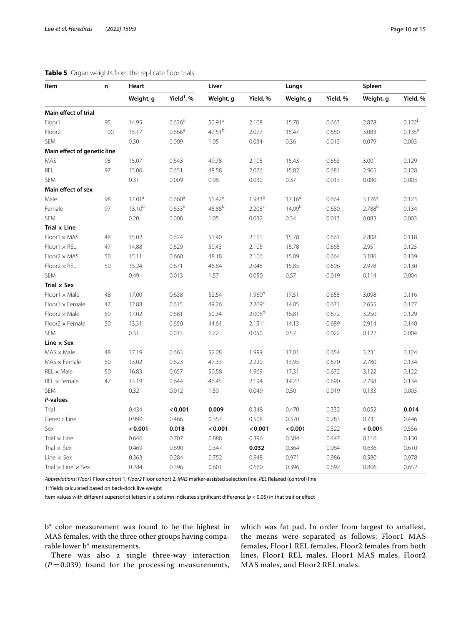| Item                             | n   | Heart              |                        | Liver              |                    | Lungs              |          | Spleen             |             |
|----------------------------------|-----|--------------------|------------------------|--------------------|--------------------|--------------------|----------|--------------------|-------------|
|                                  |     | Weight, g          | Yield <sup>1</sup> , % | Weight, g          | Yield, %           | Weight, g          | Yield, % | Weight, g          | Yield, %    |
| Main effect of trial             |     |                    |                        |                    |                    |                    |          |                    |             |
| Floor1                           | 95  | 14.95              | 0.626 <sup>b</sup>     | 50.91 <sup>a</sup> | 2.108              | 15.78              | 0.663    | 2.878              | $0.122^{b}$ |
| Floor <sub>2</sub>               | 100 | 15.17              | $0.666^{\text{a}}$     | 47.51 <sup>b</sup> | 2.077              | 15.47              | 0.680    | 3.083              | $0.135^{a}$ |
| <b>SEM</b>                       |     | 0.30               | 0.009                  | 1.05               | 0.034              | 0.36               | 0.013    | 0.079              | 0.003       |
| Main effect of genetic line      |     |                    |                        |                    |                    |                    |          |                    |             |
| MAS                              | 98  | 15.07              | 0.643                  | 49.78              | 2.108              | 15.43              | 0.663    | 3.001              | 0.129       |
| REL                              | 97  | 15.06              | 0.651                  | 48.58              | 2.076              | 15.82              | 0.681    | 2.965              | 0.128       |
| SEM                              |     | 0.31               | 0.009                  | 0.98               | 0.030              | 0.37               | 0.013    | 0.080              | 0.003       |
| Main effect of sex               |     |                    |                        |                    |                    |                    |          |                    |             |
| Male                             | 98  | 17.01 <sup>a</sup> | 0.660 <sup>a</sup>     | $51.42^a$          | 1.983 <sup>b</sup> | 17.16 <sup>a</sup> | 0.664    | 3.176 <sup>a</sup> | 0.123       |
| Female                           | 97  | $13.10^{b}$        | 0.633 <sup>b</sup>     | $46.88^{b}$        | 2.208 <sup>a</sup> | 14.09 <sup>b</sup> | 0.680    | 2.788 <sup>b</sup> | 0.134       |
| SEM                              |     | 0.20               | 0.008                  | 1.05               | 0.032              | 0.34               | 0.013    | 0.083              | 0.003       |
| Trial x Line                     |     |                    |                        |                    |                    |                    |          |                    |             |
| Floor1 x MAS                     | 48  | 15.02              | 0.624                  | 51.40              | 2.111              | 15.78              | 0.661    | 2.808              | 0.118       |
| $Floor1 \times REL$              | 47  | 14.88              | 0.629                  | 50.43              | 2.105              | 15.78              | 0.665    | 2.951              | 0.125       |
| $Floor2 \times MAS$              | 50  | 15.11              | 0.660                  | 48.18              | 2.106              | 15.09              | 0.664    | 3.186              | 0.139       |
| $Floor2 \times REL$              | 50  | 15.24              | 0.671                  | 46.84              | 2.048              | 15.85              | 0.696    | 2.978              | 0.130       |
| SEM                              |     | 0.49               | 0.013                  | 1.57               | 0.050              | 0.57               | 0.019    | 0.114              | 0.004       |
| Trial x Sex                      |     |                    |                        |                    |                    |                    |          |                    |             |
| $Floor1 \times Male$             | 48  | 17.00              | 0.638                  | 52.54              | 1.960 <sup>b</sup> | 17.51              | 0.655    | 3.098              | 0.116       |
| Floor1 x Female                  | 47  | 12.88              | 0.615                  | 49.26              | 2.269 <sup>a</sup> | 14.05              | 0.671    | 2.655              | 0.127       |
| $Floor2 \times Male$             | 50  | 17.02              | 0.681                  | 50.34              | 2.006 <sup>b</sup> | 16.81              | 0.672    | 3.250              | 0.129       |
| Floor2 x Female                  | 50  | 13.31              | 0.650                  | 44.61              | 2.151 <sup>a</sup> | 14.13              | 0.689    | 2.914              | 0.140       |
| SEM                              |     | 0.31               | 0.013                  | 1.72               | 0.050              | 0.57               | 0.022    | 0.122              | 0.004       |
| Line x Sex                       |     |                    |                        |                    |                    |                    |          |                    |             |
| $MAS \times Male$                | 48  | 17.19              | 0.663                  | 52.28              | 1.999              | 17.01              | 0.654    | 3.231              | 0.124       |
| $MAS \times$ Female              | 50  | 13.02              | 0.623                  | 47.33              | 2.220              | 13.95              | 0.670    | 2.780              | 0.134       |
| $REL \times Male$                | 50  | 16.83              | 0.657                  | 50.58              | 1.969              | 17.31              | 0.672    | 3.122              | 0.122       |
| REL x Female                     | 47  | 13.19              | 0.644                  | 46.45              | 2.194              | 14.22              | 0.690    | 2.798              | 0.134       |
| SEM                              |     | 0.32               | 0.012                  | 1.50               | 0.049              | 0.50               | 0.019    | 0.133              | 0.005       |
| P-values                         |     |                    |                        |                    |                    |                    |          |                    |             |
| Trial                            |     | 0.434              | < 0.001                | 0.009              | 0.348              | 0.470              | 0.332    | 0.052              | 0.014       |
| Genetic Line                     |     | 0.999              | 0.466                  | 0.357              | 0.508              | 0.370              | 0.283    | 0.731              | 0.446       |
| Sex                              |     | < 0.001            | 0.018                  | < 0.001            | < 0.001            | < 0.001            | 0.322    | < 0.001            | 0.556       |
| Trial $\times$ Line              |     | 0.646              | 0.707                  | 0.888              | 0.396              | 0.384              | 0.447    | 0.116              | 0.130       |
| Trial $\times$ Sex               |     | 0.469              | 0.690                  | 0.347              | 0.032              | 0.364              | 0.964    | 0.636              | 0.610       |
| Line $\times$ Sex                |     | 0.363              | 0.284                  | 0.752              | 0.948              | 0.971              | 0.986    | 0.580              | 0.978       |
| Trial $\times$ Line $\times$ Sex |     | 0.284              | 0.396                  | 0.601              | 0.660              | 0.396              | 0.692    | 0.806              | 0.652       |

# <span id="page-9-0"></span>**Table 5** Organ weights from the replicate floor trials

*Abbreviations*: *Floor1* Floor cohort 1, *Floor2* Floor cohort 2, *MAS* marker-assisted selection line, *REL* Relaxed (control) line

1: Yields calculated based on back-dock live weight

Item values with diferent superscript letters in a column indicates signifcant diference (*p* < 0.05) in that trait or efect

b\* color measurement was found to be the highest in MAS females, with the three other groups having comparable lower b\* measurements.

There was also a single three-way interaction  $(P=0.039)$  found for the processing measurements, which was fat pad. In order from largest to smallest, the means were separated as follows: Floor1 MAS females, Floor1 REL females, Floor2 females from both lines, Floor1 REL males, Floor1 MAS males, Floor2 MAS males, and Floor2 REL males.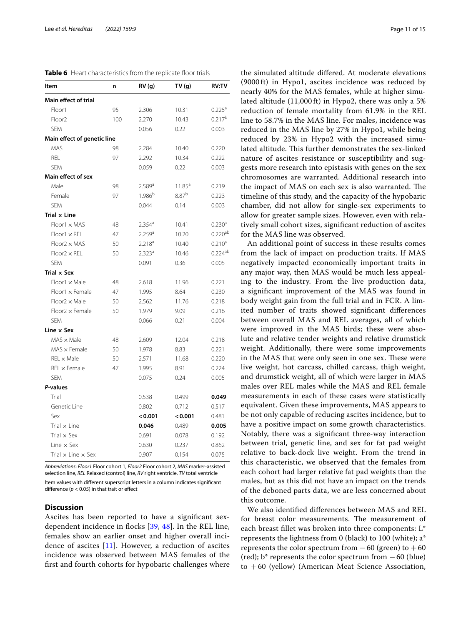<span id="page-10-0"></span>

| Item                               | n   | RV(g)                | TV(g)      | <b>RV:TV</b>       |
|------------------------------------|-----|----------------------|------------|--------------------|
| <b>Main effect of trial</b>        |     |                      |            |                    |
| Floor1                             | 95  | 2.306                | 10.31      | 0.225 <sup>a</sup> |
| Floor <sub>2</sub>                 | 100 | 2.270                | 10.43      | $0.217^{b}$        |
| <b>SEM</b>                         |     | 0.056                | 0.22       | 0.003              |
| <b>Main effect of genetic line</b> |     |                      |            |                    |
| <b>MAS</b>                         | 98  | 2.284                | 10.40      | 0.220              |
| <b>REL</b>                         | 97  | 2.292                | 10.34      | 0.222              |
| <b>SEM</b>                         |     | 0.059                | 0.22       | 0.003              |
| Main effect of sex                 |     |                      |            |                    |
| Male                               | 98  | 2.589a               | $11.85^a$  | 0.219              |
| Female                             | 97  | $1.986^{b}$          | $8.87^{b}$ | 0.223              |
| <b>SEM</b>                         |     | 0.044                | 0.14       | 0.003              |
| Trial x Line                       |     |                      |            |                    |
| Floor1 x MAS                       | 48  | 2.354 <sup>a</sup>   | 10.41      | 0.230 <sup>a</sup> |
| $Floor1 \times REL$                | 47  | $2.259$ <sup>a</sup> | 10.20      | $0.220^{ab}$       |
| $Floor2 \times MAS$                | 50  | $2.218^{a}$          | 10.40      | $0.210^a$          |
| $Floor2 \times REL$                | 50  | 2.323a               | 10.46      | $0.224^{ab}$       |
| <b>SEM</b>                         |     | 0.091                | 0.36       | 0.005              |
| Trial x Sex                        |     |                      |            |                    |
| $Floor1 \times Male$               | 48  | 2.618                | 11.96      | 0.221              |
| $Floor1 \times Female$             | 47  | 1.995                | 8.64       | 0.230              |
| $Floor2 \times Male$               | 50  | 2.562                | 11.76      | 0.218              |
| $Floor2 \times Female$             | 50  | 1.979                | 9.09       | 0.216              |
| <b>SEM</b>                         |     | 0.066                | 0.21       | 0.004              |
| Line x Sex                         |     |                      |            |                    |
| $MAS \times Male$                  | 48  | 2.609                | 12.04      | 0.218              |
| $MAS \times Female$                | 50  | 1.978                | 8.83       | 0.221              |
| $REL \times Male$                  | 50  | 2.571                | 11.68      | 0.220              |
| REL x Female                       | 47  | 1.995                | 8.91       | 0.224              |
| <b>SEM</b>                         |     | 0.075                | 0.24       | 0.005              |
| P-values                           |     |                      |            |                    |
| Trial                              |     | 0.538                | 0.499      | 0.049              |
| Genetic Line                       |     | 0.802                | 0.712      | 0.517              |
| Sex                                |     | < 0.001              | < 0.001    | 0.481              |
| Trial $\times$ Line                |     | 0.046                | 0.489      | 0.005              |
| Trial $\times$ Sex                 |     | 0.691                | 0.078      | 0.192              |
| Line $\times$ Sex                  |     | 0.630                | 0.237      | 0.862              |
| Trial $\times$ Line $\times$ Sex   |     | 0.907                | 0.154      | 0.075              |

*Abbreviations*: *Floor1* Floor cohort 1, *Floor2* Floor cohort 2, *MAS* marker-assisted selection line, *REL* Relaxed (control) line, *RV* right ventricle, *TV* total ventricle Item values with diferent superscript letters in a column indicates signifcant difference  $(p < 0.05)$  in that trait or effect

# **Discussion**

Ascites has been reported to have a signifcant sexdependent incidence in focks [[39,](#page-13-27) [48](#page-14-2)]. In the REL line, females show an earlier onset and higher overall incidence of ascites  $[11]$  $[11]$  $[11]$ . However, a reduction of ascites incidence was observed between MAS females of the frst and fourth cohorts for hypobaric challenges where

the simulated altitude difered. At moderate elevations (9000 ft) in Hypo1, ascites incidence was reduced by nearly 40% for the MAS females, while at higher simulated altitude (11,000 ft) in Hypo2, there was only a 5% reduction of female mortality from 61.9% in the REL line to 58.7% in the MAS line. For males, incidence was reduced in the MAS line by 27% in Hypo1, while being reduced by 23% in Hypo2 with the increased simulated altitude. This further demonstrates the sex-linked nature of ascites resistance or susceptibility and suggests more research into epistasis with genes on the sex chromosomes are warranted. Additional research into the impact of MAS on each sex is also warranted. The timeline of this study, and the capacity of the hypobaric chamber, did not allow for single-sex experiments to allow for greater sample sizes. However, even with relatively small cohort sizes, signifcant reduction of ascites for the MAS line was observed.

An additional point of success in these results comes from the lack of impact on production traits. If MAS negatively impacted economically important traits in any major way, then MAS would be much less appealing to the industry. From the live production data, a signifcant improvement of the MAS was found in body weight gain from the full trial and in FCR. A limited number of traits showed signifcant diferences between overall MAS and REL averages, all of which were improved in the MAS birds; these were absolute and relative tender weights and relative drumstick weight. Additionally, there were some improvements in the MAS that were only seen in one sex. These were live weight, hot carcass, chilled carcass, thigh weight, and drumstick weight, all of which were larger in MAS males over REL males while the MAS and REL female measurements in each of these cases were statistically equivalent. Given these improvements, MAS appears to be not only capable of reducing ascites incidence, but to have a positive impact on some growth characteristics. Notably, there was a signifcant three-way interaction between trial, genetic line, and sex for fat pad weight relative to back-dock live weight. From the trend in this characteristic, we observed that the females from each cohort had larger relative fat pad weights than the males, but as this did not have an impact on the trends of the deboned parts data, we are less concerned about this outcome.

We also identifed diferences between MAS and REL for breast color measurements. The measurement of each breast fllet was broken into three components: L\* represents the lightness from 0 (black) to 100 (white); a\* represents the color spectrum from  $-60$  (green) to  $+60$  $(\text{red})$ ; b\* represents the color spectrum from  $-60$  (blue) to  $+60$  (yellow) (American Meat Science Association,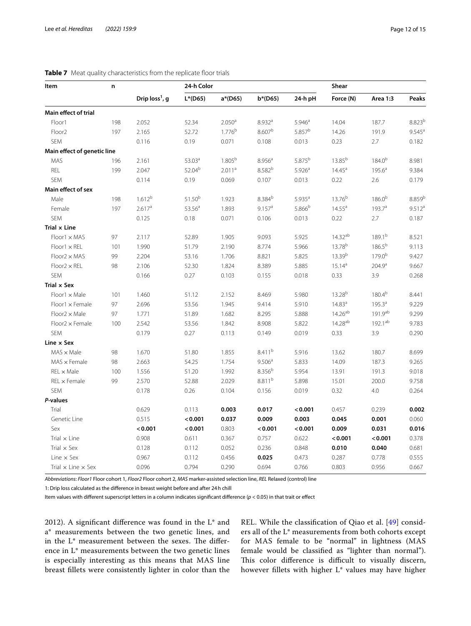| Item                             | n   |                  | 24-h Color         |                    |                    | Shear              |                    |                    |                    |
|----------------------------------|-----|------------------|--------------------|--------------------|--------------------|--------------------|--------------------|--------------------|--------------------|
|                                  |     | Drip $loss1$ , g | $L^*(D65)$         | $a*(D65)$          | $b*(D65)$          | 24-h pH            | Force (N)          | Area 1:3           | Peaks              |
| Main effect of trial             |     |                  |                    |                    |                    |                    |                    |                    |                    |
| Floor1                           | 198 | 2.052            | 52.34              | 2.050 <sup>a</sup> | 8.932 <sup>a</sup> | 5.946 <sup>a</sup> | 14.04              | 187.7              | $8.823^{b}$        |
| Floor <sub>2</sub>               | 197 | 2.165            | 52.72              | $1.776^{b}$        | $8.607^{b}$        | 5.857 <sup>b</sup> | 14.26              | 191.9              | $9.545^{\text{a}}$ |
| <b>SEM</b>                       |     | 0.116            | 0.19               | 0.071              | 0.108              | 0.013              | 0.23               | 2.7                | 0.182              |
| Main effect of genetic line      |     |                  |                    |                    |                    |                    |                    |                    |                    |
| MAS                              | 196 | 2.161            | 53.03 <sup>a</sup> | $1.805^{b}$        | 8.956 <sup>a</sup> | 5.875 <sup>b</sup> | 13.85 <sup>b</sup> | $184.0^{b}$        | 8.981              |
| REL                              | 199 | 2.047            | 52.04 <sup>b</sup> | 2.011 <sup>a</sup> | 8.582 <sup>b</sup> | 5.926 <sup>a</sup> | $14.45^a$          | 195.6 <sup>a</sup> | 9.384              |
| SEM                              |     | 0.114            | 0.19               | 0.069              | 0.107              | 0.013              | 0.22               | 2.6                | 0.179              |
| Main effect of sex               |     |                  |                    |                    |                    |                    |                    |                    |                    |
| Male                             | 198 | $1.612^{b}$      | $51.50^{b}$        | 1.923              | $8.384^{b}$        | $5.935^{a}$        | $13.76^{b}$        | $186.0^{b}$        | 8.859 <sup>b</sup> |
| Female                           | 197 | 2.617a           | 53.56 <sup>a</sup> | 1.893              | 9.157 <sup>a</sup> | 5.866 <sup>b</sup> | $14.55^a$          | 193.7 <sup>a</sup> | 9.512 <sup>a</sup> |
| SEM                              |     | 0.125            | 0.18               | 0.071              | 0.106              | 0.013              | 0.22               | 2.7                | 0.187              |
| Trial x Line                     |     |                  |                    |                    |                    |                    |                    |                    |                    |
| $Floor1 \times MAS$              | 97  | 2.117            | 52.89              | 1.905              | 9.093              | 5.925              | $14.32^{ab}$       | 189.1 <sup>b</sup> | 8.521              |
| $Floor1 \times REL$              | 101 | 1.990            | 51.79              | 2.190              | 8.774              | 5.966              | 13.78 <sup>b</sup> | $186.5^{b}$        | 9.113              |
| $Floor2 \times MAS$              | 99  | 2.204            | 53.16              | 1.706              | 8.821              | 5.825              | 13.39b             | $179.0^{b}$        | 9.427              |
| $Floor2 \times REL$              | 98  | 2.106            | 52.30              | 1.824              | 8.389              | 5.885              | $15.14^{a}$        | 204.9 <sup>a</sup> | 9.667              |
| SEM                              |     | 0.166            | 0.27               | 0.103              | 0.155              | 0.018              | 0.33               | 3.9                | 0.268              |
| Trial x Sex                      |     |                  |                    |                    |                    |                    |                    |                    |                    |
| $Floor1 \times Male$             | 101 | 1.460            | 51.12              | 2.152              | 8.469              | 5.980              | 13.28 <sup>b</sup> | $180.4^{b}$        | 8.441              |
| $Floor1 \times Female$           | 97  | 2.696            | 53.56              | 1.945              | 9.414              | 5.910              | 14.83 <sup>a</sup> | 195.3 <sup>a</sup> | 9.229              |
| $Floor2 \times Male$             | 97  | 1.771            | 51.89              | 1.682              | 8.295              | 5.888              | $14.26^{ab}$       | 191.9ab            | 9.299              |
| Floor2 x Female                  | 100 | 2.542            | 53.56              | 1.842              | 8.908              | 5.822              | $14.28^{ab}$       | 192.1ab            | 9.783              |
| <b>SEM</b>                       |     | 0.179            | 0.27               | 0.113              | 0.149              | 0.019              | 0.33               | 3.9                | 0.290              |
| Line x Sex                       |     |                  |                    |                    |                    |                    |                    |                    |                    |
| $MAS \times Male$                | 98  | 1.670            | 51.80              | 1.855              | 8.411 <sup>b</sup> | 5.916              | 13.62              | 180.7              | 8.699              |
| $MAS \times Female$              | 98  | 2.663            | 54.25              | 1.754              | 9.506 <sup>a</sup> | 5.833              | 14.09              | 187.3              | 9.265              |
| $REL \times Male$                | 100 | 1.556            | 51.20              | 1.992              | $8.356^{b}$        | 5.954              | 13.91              | 191.3              | 9.018              |
| $REL \times Female$              | 99  | 2.570            | 52.88              | 2.029              | $8.811^{b}$        | 5.898              | 15.01              | 200.0              | 9.758              |
| SEM                              |     | 0.178            | 0.26               | 0.104              | 0.156              | 0.019              | 0.32               | 4.0                | 0.264              |
| P-values                         |     |                  |                    |                    |                    |                    |                    |                    |                    |
| Trial                            |     | 0.629            | 0.113              | 0.003              | 0.017              | < 0.001            | 0.457              | 0.239              | 0.002              |
| Genetic Line                     |     | 0.515            | < 0.001            | 0.037              | 0.009              | 0.003              | 0.045              | 0.001              | 0.060              |
| Sex                              |     | < 0.001          | < 0.001            | 0.803              | < 0.001            | < 0.001            | 0.009              | 0.031              | 0.016              |
| Trial $\times$ Line              |     | 0.908            | 0.611              | 0.367              | 0.757              | 0.622              | < 0.001            | < 0.001            | 0.378              |
| Trial $\times$ Sex               |     | 0.128            | 0.112              | 0.052              | 0.236              | 0.848              | 0.010              | 0.040              | 0.681              |
| Line $\times$ Sex                |     | 0.967            | 0.112              | 0.456              | 0.025              | 0.473              | 0.287              | 0.778              | 0.555              |
| Trial $\times$ Line $\times$ Sex |     | 0.096            | 0.794              | 0.290              | 0.694              | 0.766              | 0.803              | 0.956              | 0.667              |

# <span id="page-11-0"></span>**Table 7** Meat quality characteristics from the replicate floor trials

*Abbreviations*: *Floor1* Floor cohort 1, *Floor2* Floor cohort 2, *MAS* marker-assisted selection line, *REL* Relaxed (control) line

1: Drip loss calculated as the diference in breast weight before and after 24h chill

Item values with diferent superscript letters in a column indicates signifcant diference (*p* < 0.05) in that trait or efect

2012). A signifcant diference was found in the L\* and a\* measurements between the two genetic lines, and in the  $L^*$  measurement between the sexes. The difference in L\* measurements between the two genetic lines is especially interesting as this means that MAS line breast fllets were consistently lighter in color than the REL. While the classifcation of Qiao et al. [\[49](#page-14-3)] considers all of the L\* measurements from both cohorts except for MAS female to be "normal" in lightness (MAS female would be classifed as "lighter than normal"). This color difference is difficult to visually discern, however fllets with higher L\* values may have higher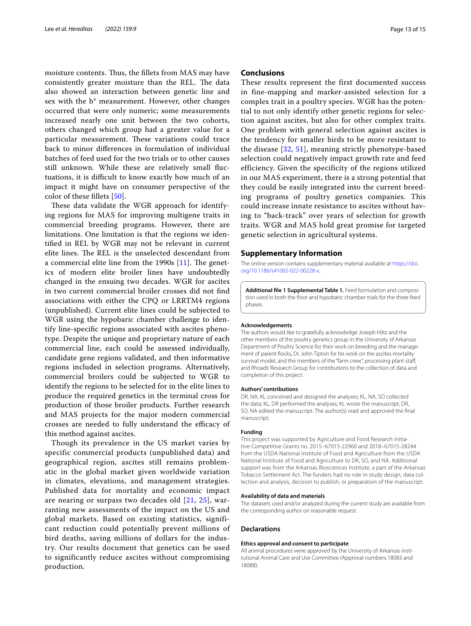moisture contents. Thus, the fillets from MAS may have consistently greater moisture than the REL. The data also showed an interaction between genetic line and sex with the b\* measurement. However, other changes occurred that were only numeric; some measurements increased nearly one unit between the two cohorts, others changed which group had a greater value for a particular measurement. These variations could trace back to minor diferences in formulation of individual batches of feed used for the two trials or to other causes still unknown. While these are relatively small fuctuations, it is difficult to know exactly how much of an impact it might have on consumer perspective of the color of these fllets [[50](#page-14-4)].

These data validate the WGR approach for identifying regions for MAS for improving multigene traits in commercial breeding programs. However, there are limitations. One limitation is that the regions we identifed in REL by WGR may not be relevant in current elite lines. The REL is the unselected descendant from a commercial elite line from the 1990s  $[11]$  $[11]$ . The genetics of modern elite broiler lines have undoubtedly changed in the ensuing two decades. WGR for ascites in two current commercial broiler crosses did not fnd associations with either the CPQ or LRRTM4 regions (unpublished). Current elite lines could be subjected to WGR using the hypobaric chamber challenge to identify line-specifc regions associated with ascites phenotype. Despite the unique and proprietary nature of each commercial line, each could be assessed individually, candidate gene regions validated, and then informative regions included in selection programs. Alternatively, commercial broilers could be subjected to WGR to identify the regions to be selected for in the elite lines to produce the required genetics in the terminal cross for production of those broiler products. Further research and MAS projects for the major modern commercial crosses are needed to fully understand the efficacy of this method against ascites.

Though its prevalence in the US market varies by specific commercial products (unpublished data) and geographical region, ascites still remains problematic in the global market given worldwide variation in climates, elevations, and management strategies. Published data for mortality and economic impact are nearing or surpass two decades old [\[21,](#page-13-10) [25\]](#page-13-12), warranting new assessments of the impact on the US and global markets. Based on existing statistics, significant reduction could potentially prevent millions of bird deaths, saving millions of dollars for the industry. Our results document that genetics can be used to significantly reduce ascites without compromising production.

# **Conclusions**

These results represent the first documented success in fine-mapping and marker-assisted selection for a complex trait in a poultry species. WGR has the potential to not only identify other genetic regions for selection against ascites, but also for other complex traits. One problem with general selection against ascites is the tendency for smaller birds to be more resistant to the disease [\[32](#page-13-28), [51](#page-14-5)], meaning strictly phenotype-based selection could negatively impact growth rate and feed efficiency. Given the specificity of the regions utilized in our MAS experiment, there is a strong potential that they could be easily integrated into the current breeding programs of poultry genetics companies. This could increase innate resistance to ascites without having to "back-track" over years of selection for growth traits. WGR and MAS hold great promise for targeted genetic selection in agricultural systems.

# **Supplementary Information**

The online version contains supplementary material available at [https://doi.](https://doi.org/10.1186/s41065-022-00228-x) [org/10.1186/s41065-022-00228-x.](https://doi.org/10.1186/s41065-022-00228-x)

**Additional fle 1 Supplemental Table 1.** Feed formulation and composition used in both the floor and hypobaric chamber trials for the three feed phases.

#### **Acknowledgements**

The authors would like to gratefully acknowledge Joseph Hiltz and the other members of the poultry genetics group in the University of Arkansas Department of Poultry Science for their work on breeding and the management of parent focks, Dr. John Tipton for his work on the ascites mortality survival model, and the members of the "farm crew", processing plant staff, and Rhoads' Research Group for contributions to the collection of data and completion of this project.

#### **Authors' contributions**

DR, NA, KL conceived and designed the analyses; KL, NA, SO collected the data; KL, DR performed the analyses; KL wrote the manuscript; DR, SO, NA edited the manuscript. The author(s) read and approved the fnal manuscript.

#### **Funding**

This project was supported by Agriculture and Food Research Initiative Competitive Grants no. 2015–67015-22960 and 2018–67015-28244 from the USDA National Institute of Food and Agriculture from the USDA National Institute of Food and Agriculture to DR, SO, and NA. Additional support was from the Arkansas Biosciences Institute, a part of the Arkansas Tobacco Settlement Act. The funders had no role in study design, data collection and analysis, decision to publish, or preparation of the manuscript.

#### **Availability of data and materials**

The datasets used and/or analyzed during the current study are available from the corresponding author on reasonable request.

#### **Declarations**

#### **Ethics approval and consent to participate**

All animal procedures were approved by the University of Arkansas Institutional Animal Care and Use Committee (Approval numbers 18083 and 18088).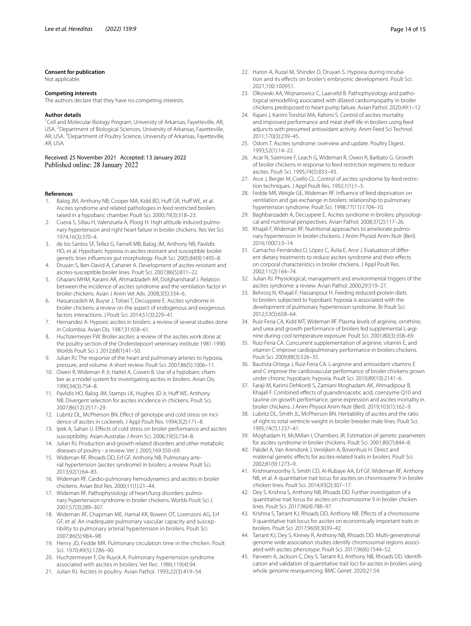#### **Consent for publication**

Not applicable.

# **Competing interests**

The authors declare that they have no competing interests.

#### **Author details**

<sup>1</sup> Cell and Molecular Biology Program, University of Arkansas, Fayetteville, AR, USA.<sup>2</sup> Department of Biological Sciences, University of Arkansas, Fayetteville, AR, USA.<sup>3</sup> Department of Poultry Science, University of Arkansas, Fayetteville, AR, USA.

Received: 25 November 2021 Accepted: 13 January 2022

# **References**

- <span id="page-13-0"></span>1. Balog JM, Anthony NB, Cooper MA, Kidd BD, Huff GR, Huff WE, et al. Ascites syndrome and related pathologies in feed restricted broilers raised in a hypobaric chamber. Poult Sci. 2000;79(3):318–23.
- 2. Cueva S, Sillau H, Valenzuela A, Ploog H. High altitude induced pulmonary hypertension and right heart failure in broiler chickens. Res Vet Sci. 1974;16(3):370–4.
- 3. de los Santos SF, Tellez G, Farnell MB, Balog JM, Anthony NB, Pavlidis HO, et al. Hypobaric hypoxia in ascites resistant and susceptible broiler genetic lines infuences gut morphology. Poult Sci. 2005;84(9):1495–8.
- <span id="page-13-21"></span>4. Druyan S, Ben-David A, Cahaner A. Development of ascites-resistant and ascites-susceptible broiler lines. Poult Sci. 2007;86(5):811–22.
- 5. Ghazani MHM, Karami AR, Ahmadzadeh AR, Dolgharisharaf J. Relation between the incidence of ascites syndrome and the ventilation factor in broiler chickens. Asian J Anim Vet Adv. 2008;3(5):334–6.
- <span id="page-13-11"></span>6. Hassanzadeh M, Buyse J, Toloei T, Decuypere E. Ascites syndrome in broiler chickens: a review on the aspect of endogenous and exogenous factors interactions. J Poult Sci. 2014;51(3):229–41.
- 7. Hernandez A. Hypoxic ascites in broilers: a review of several studies done in Colombia. Avian Dis. 1987;31:658–61.
- 8. Huchzermeyer FW. Broiler ascites: a review of the ascites work done at the poultry section of the Onderstepoort veterinary institute 1981-1990. Worlds Poult Sci J. 2012;68(1):41–50.
- <span id="page-13-4"></span>9. Julian RJ. The response of the heart and pulmonary arteries to hypoxia, pressure, and volume. A short review. Poult Sci. 2007;86(5):1006–11.
- 10. Owen R, Wideman R Jr, Hattel A, Cowen B. Use of a hypobaric chamber as a model system for investigating ascites in broilers. Avian Dis. 1990;34(3):754–8.
- <span id="page-13-1"></span>11. Pavlidis HO, Balog JM, Stamps LK, Hughes JD Jr, Huff WE, Anthony NB. Divergent selection for ascites incidence in chickens. Poult Sci. 2007;86(12):2517–29.
- <span id="page-13-2"></span>12. Lubritz DL, McPherson BN. Efect of genotype and cold stress on incidence of ascites in cockerels. J Appl Poult Res. 1994;3(2):171–8.
- <span id="page-13-3"></span>13. Ipek A, Sahan U. Efects of cold stress on broiler performance and ascites susceptibility. Asian-Australas J Anim Sci. 2006;19(5):734–8.
- <span id="page-13-5"></span>14. Julian RJ. Production and growth related disorders and other metabolic diseases of poultry - a review. Vet J. 2005;169:350–69.
- <span id="page-13-6"></span>15. Wideman RF, Rhoads DD, Erf GF, Anthony NB. Pulmonary arterial hypertension (ascites syndrome) in broilers: a review. Poult Sci. 2013;92(1):64–83.
- <span id="page-13-7"></span>16. Wideman RF. Cardio-pulmonary hemodynamics and ascites in broiler chickens. Avian Biol Res. 2000;11(1):21–44.
- 17. Wideman RF. Pathophysiology of heart/lung disorders: pulmonary hypertension syndrome in broiler chickens. Worlds Poult Sci J. 2001;57(3):289–307.
- <span id="page-13-8"></span>18. Wideman RF, Chapman ME, Hamal KR, Bowen OT, Lorenzoni AG, Erf GF, et al. An inadequate pulmonary vascular capacity and susceptibility to pulmonary arterial hypertension in broilers. Poult Sci. 2007;86(5):984–98.
- <span id="page-13-9"></span>19. Henry JD, Fedde MR. Pulmonary circulation time in the chicken. Poult Sci. 1970;49(5):1286–90.
- 20. Huchzermeyer F, De Ruyck A. Pulmonary hypertension syndrome associated with ascites in broilers. Vet Rec. 1986;119(4):94.
- <span id="page-13-10"></span>21. Julian RJ. Ascites in poultry. Avian Pathol. 1993;22(3):419–54.
- 22. Haron A, Ruzal M, Shinder D, Druyan S. Hypoxia during incubation and its efects on broiler's embryonic development. Poult Sci. 2021;100:100951.
- 23. Olkowski AA, Wojnarowicz C, Laarveld B. Pathophysiology and pathological remodelling associated with dilated cardiomyopathy in broiler chickens predisposed to heart pump failure. Avian Pathol. 2020;49:1–12.
- <span id="page-13-13"></span>24. Rajani J, Karimi Torshizi MA, Rahimi S. Control of ascites mortality and improved performance and meat shelf-life in broilers using feed adjuncts with presumed antioxidant activity. Anim Feed Sci Technol. 2011;170(3):239–45.
- <span id="page-13-12"></span>25. Odom T. Ascites syndrome: overview and update. Poultry Digest. 1993;52(1):14–22.
- <span id="page-13-14"></span>26. Acar N, Sizemore F, Leach G, Wideman R, Owen R, Barbato G. Growth of broiler chickens in response to feed restriction regimens to reduce ascites. Poult Sci. 1995;74(5):833–43.
- 27. Arce J, Berger M, Coello CL. Control of ascites syndrome by feed restriction techniques. J Appl Poult Res. 1992;1(1):1–5.
- 28. Fedde MR, Weigle GE, Wideman RF. Infuence of feed deprivation on ventilation and gas exchange in broilers: relationship to pulmonary hypertension syndrome. Poult Sci. 1998;77(11):1704–10.
- <span id="page-13-16"></span>29. Baghbanzadeh A, Decuypere E. Ascites syndrome in broilers: physiological and nutritional perspectives. Avian Pathol. 2008;37(2):117–26.
- <span id="page-13-18"></span>30. Khajali F, Wideman RF. Nutritional approaches to ameliorate pulmonary hypertension in broiler chickens. J Anim Physiol Anim Nutr (Berl). 2016;100(1):3–14.
- <span id="page-13-15"></span>31. Camacho-Fernández D, López C, Ávila E, Arce J. Evaluation of diferent dietary treatments to reduce ascites syndrome and their efects on corporal characteristics in broiler chickens. J Appl Poult Res. 2002;11(2):164–74.
- <span id="page-13-28"></span>32. Julian RJ. Physiological, management and environmental triggers of the ascites syndrome: a review. Avian Pathol. 2000;29:519–27.
- <span id="page-13-17"></span>33. Behrooj N, Khajali F, Hassanpour H. Feeding reduced-protein diets to broilers subjected to hypobaric hypoxia is associated with the development of pulmonary hypertension syndrome. Br Poult Sci. 2012;53(5):658–64.
- <span id="page-13-19"></span>34. Ruiz-Feria CA, Kidd MT, Wideman RF. Plasma levels of arginine, ornithine, and urea and growth performance of broilers fed supplemental L-arginine during cool temperature exposure. Poult Sci. 2001;80(3):358–69.
- 35. Ruiz-Feria CA. Concurrent supplementation of arginine, vitamin E, and vitamin C improve cardiopulmonary performance in broilers chickens. Poult Sci. 2009;88(3):526–35.
- 36. Bautista-Ortega J, Ruiz-Feria CA. L-arginine and antioxidant vitamins E and C improve the cardiovascular performance of broiler chickens grown under chronic hypobaric hypoxia. Poult Sci. 2010;89(10):2141–6.
- <span id="page-13-20"></span>37. Faraji M, Karimi Dehkordi S, Zamiani Moghadam AK, Ahmadipour B, Khajali F. Combined efects of guanidinoacetic acid, coenzyme Q10 and taurine on growth performance, gene expression and ascites mortality in broiler chickens. J Anim Physiol Anim Nutr (Berl). 2019;103(1):162–9.
- <span id="page-13-22"></span>38. Lubritz DL, Smith JL, McPherson BN. Heritability of ascites and the ratio of right to total ventricle weight in broiler breeder male lines. Poult Sci. 1995;74(7):1237–41.
- <span id="page-13-27"></span>39. Moghadam H, McMillan I, Chambers JR. Estimation of genetic parameters for ascites syndrome in broiler chickens. Poult Sci. 2001;80(7):844–8.
- <span id="page-13-23"></span>40. Pakdel A, Van Arendonk J, Vereijken A, Bovenhuis H. Direct and maternal genetic efects for ascites-related traits in broilers. Poult Sci. 2002;81(9):1273–9.
- <span id="page-13-24"></span>41. Krishnamoorthy S, Smith CD, Al-Rubaye AA, Erf GF, Wideman RF, Anthony NB, et al. A quantitative trait locus for ascites on chromosome 9 in broiler chicken lines. Poult Sci. 2014;93(2):307–17.
- 42. Dey S, Krishna S, Anthony NB, Rhoads DD. Further investigation of a quantitative trait locus for ascites on chromosome 9 in broiler chicken lines. Poult Sci. 2017;96(4):788–97.
- 43. Krishna S, Tarrant KJ, Rhoads DD, Anthony NB. Efects of a chromosome 9 quantitative trait locus for ascites on economically important traits in broilers. Poult Sci. 2017;96(9):3039–42.
- <span id="page-13-25"></span>44. Tarrant KJ, Dey S, Kinney R, Anthony NB, Rhoads DD. Multi-generational genome wide association studies identify chromosomal regions associated with ascites phenotype. Poult Sci. 2017;96(6):1544–52.
- <span id="page-13-26"></span>45. Parveen A, Jackson C, Dey S, Tarrant KJ, Anthony NB, Rhoads DD. Identifcation and validation of quantitative trait loci for ascites in broilers using whole genome resequencing. BMC Genet. 2020;21:54.